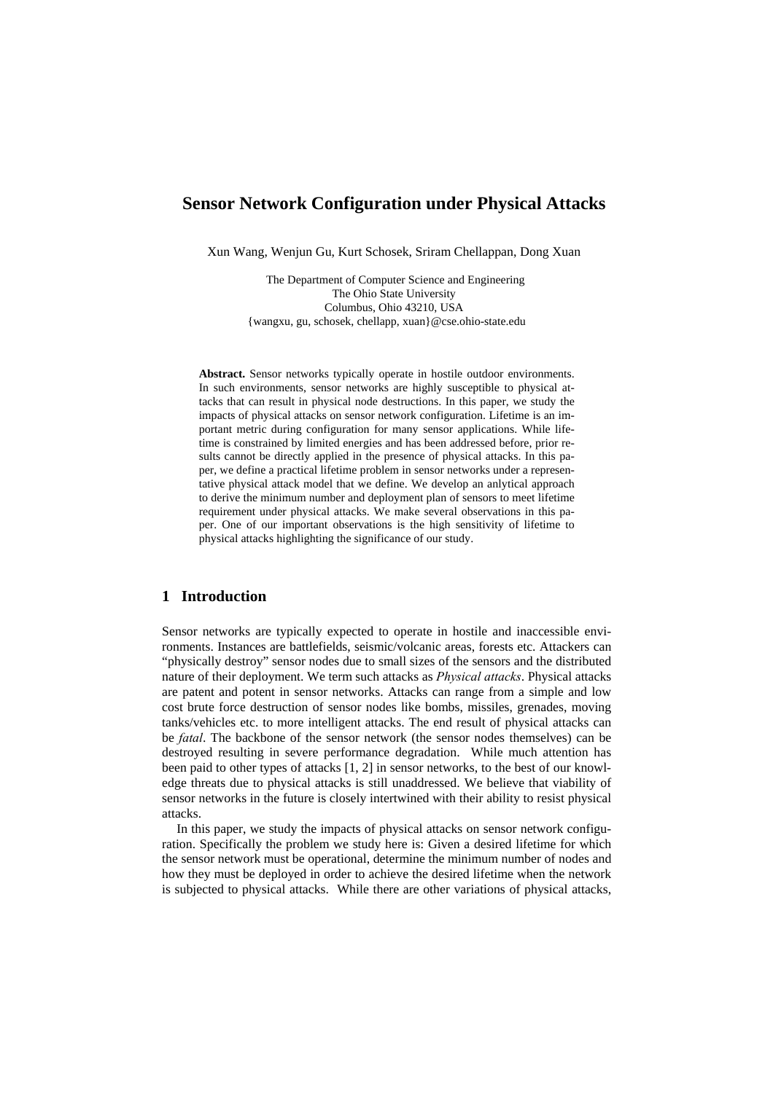# **Sensor Network Configuration under Physical Attacks**

Xun Wang, Wenjun Gu, Kurt Schosek, Sriram Chellappan, Dong Xuan

 The Department of Computer Science and Engineering The Ohio State University Columbus, Ohio 43210, USA {wangxu, gu, schosek, chellapp, xuan}@cse.ohio-state.edu

**Abstract.** Sensor networks typically operate in hostile outdoor environments. In such environments, sensor networks are highly susceptible to physical attacks that can result in physical node destructions. In this paper, we study the impacts of physical attacks on sensor network configuration. Lifetime is an important metric during configuration for many sensor applications. While lifetime is constrained by limited energies and has been addressed before, prior results cannot be directly applied in the presence of physical attacks. In this paper, we define a practical lifetime problem in sensor networks under a representative physical attack model that we define. We develop an anlytical approach to derive the minimum number and deployment plan of sensors to meet lifetime requirement under physical attacks. We make several observations in this paper. One of our important observations is the high sensitivity of lifetime to physical attacks highlighting the significance of our study.

## **1 Introduction**

Sensor networks are typically expected to operate in hostile and inaccessible environments. Instances are battlefields, seismic/volcanic areas, forests etc. Attackers can "physically destroy" sensor nodes due to small sizes of the sensors and the distributed nature of their deployment. We term such attacks as *Physical attacks*. Physical attacks are patent and potent in sensor networks. Attacks can range from a simple and low cost brute force destruction of sensor nodes like bombs, missiles, grenades, moving tanks/vehicles etc. to more intelligent attacks. The end result of physical attacks can be *fatal*. The backbone of the sensor network (the sensor nodes themselves) can be destroyed resulting in severe performance degradation. While much attention has been paid to other types of attacks [1, 2] in sensor networks, to the best of our knowledge threats due to physical attacks is still unaddressed. We believe that viability of sensor networks in the future is closely intertwined with their ability to resist physical attacks.

In this paper, we study the impacts of physical attacks on sensor network configuration. Specifically the problem we study here is: Given a desired lifetime for which the sensor network must be operational, determine the minimum number of nodes and how they must be deployed in order to achieve the desired lifetime when the network is subjected to physical attacks. While there are other variations of physical attacks,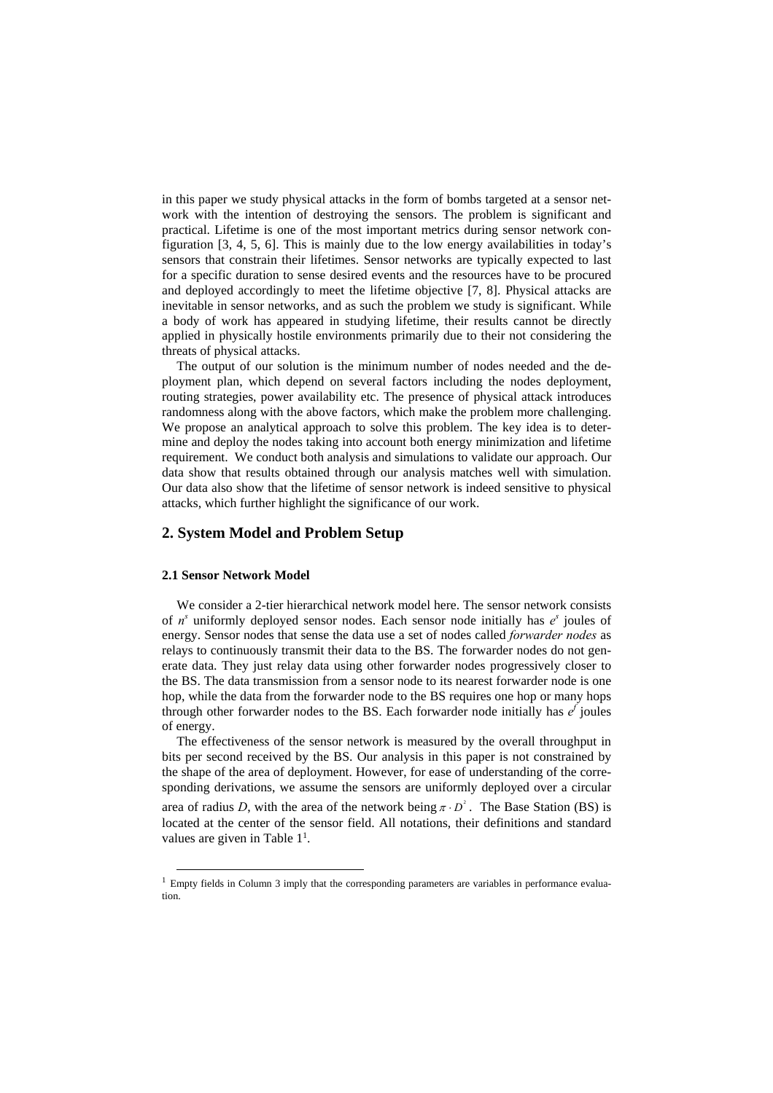in this paper we study physical attacks in the form of bombs targeted at a sensor network with the intention of destroying the sensors. The problem is significant and practical. Lifetime is one of the most important metrics during sensor network configuration [3, 4, 5, 6]. This is mainly due to the low energy availabilities in today's sensors that constrain their lifetimes. Sensor networks are typically expected to last for a specific duration to sense desired events and the resources have to be procured and deployed accordingly to meet the lifetime objective [7, 8]. Physical attacks are inevitable in sensor networks, and as such the problem we study is significant. While a body of work has appeared in studying lifetime, their results cannot be directly applied in physically hostile environments primarily due to their not considering the threats of physical attacks.

The output of our solution is the minimum number of nodes needed and the deployment plan, which depend on several factors including the nodes deployment, routing strategies, power availability etc. The presence of physical attack introduces randomness along with the above factors, which make the problem more challenging. We propose an analytical approach to solve this problem. The key idea is to determine and deploy the nodes taking into account both energy minimization and lifetime requirement. We conduct both analysis and simulations to validate our approach. Our data show that results obtained through our analysis matches well with simulation. Our data also show that the lifetime of sensor network is indeed sensitive to physical attacks, which further highlight the significance of our work.

## **2. System Model and Problem Setup**

### **2.1 Sensor Network Model**

We consider a 2-tier hierarchical network model here. The sensor network consists of  $n^s$  uniformly deployed sensor nodes. Each sensor node initially has  $e^s$  joules of energy. Sensor nodes that sense the data use a set of nodes called *forwarder nodes* as relays to continuously transmit their data to the BS. The forwarder nodes do not generate data. They just relay data using other forwarder nodes progressively closer to the BS. The data transmission from a sensor node to its nearest forwarder node is one hop, while the data from the forwarder node to the BS requires one hop or many hops through other forwarder nodes to the BS. Each forwarder node initially has  $e^f$  joules of energy.

The effectiveness of the sensor network is measured by the overall throughput in bits per second received by the BS. Our analysis in this paper is not constrained by the shape of the area of deployment. However, for ease of understanding of the corresponding derivations, we assume the sensors are uniformly deployed over a circular area of radius *D*, with the area of the network being  $\pi \cdot D^2$ . The Base Station (BS) is located at the center of the sensor field. All notations, their definitions and standard values are given in Table [11.](#page-1-0)

<span id="page-1-0"></span><sup>&</sup>lt;sup>1</sup> Empty fields in Column 3 imply that the corresponding parameters are variables in performance evaluation.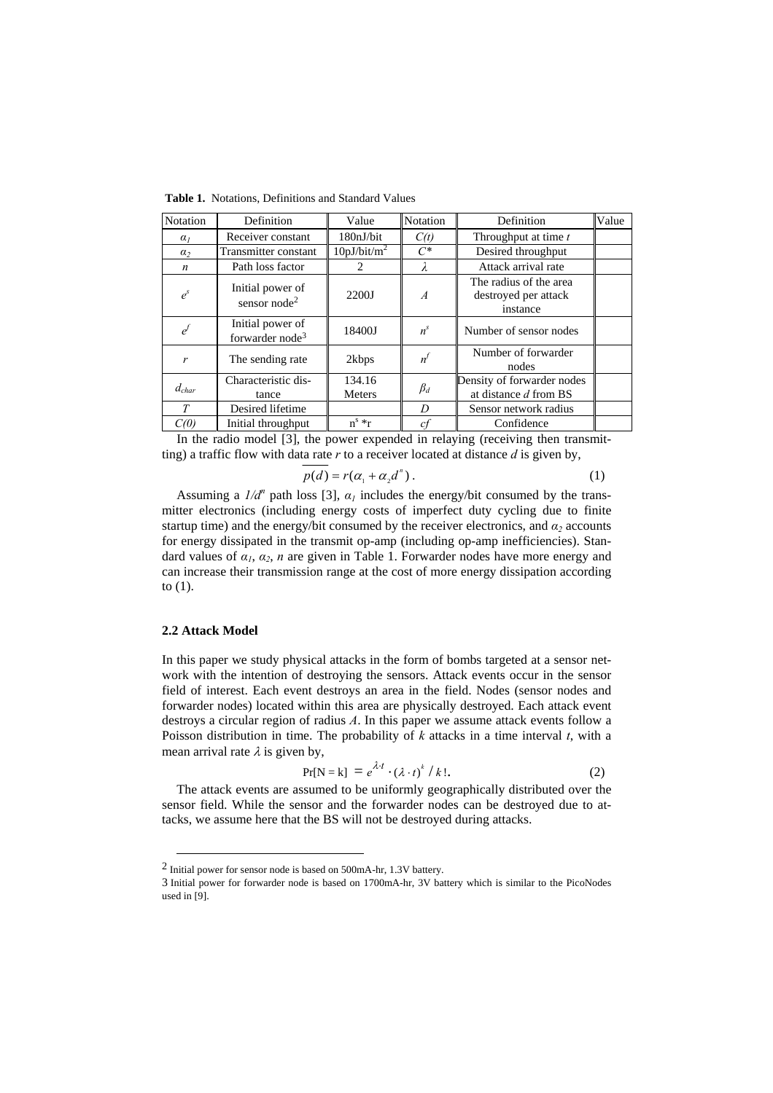| Notation         | Definition                                      | Value                   | Notation       | Definition                                                 | Value |
|------------------|-------------------------------------------------|-------------------------|----------------|------------------------------------------------------------|-------|
| $\alpha_I$       | Receiver constant                               | 180nJ/bit               | C(t)           | Throughput at time t                                       |       |
| $\alpha$         | Transmitter constant                            | 10pJ/bit/m <sup>2</sup> | $C^*$          | Desired throughput                                         |       |
| $\boldsymbol{n}$ | Path loss factor                                | $\mathfrak{D}$          | λ              | Attack arrival rate                                        |       |
| $e^{s}$          | Initial power of<br>sensor $node2$              | 2200J                   | $\overline{A}$ | The radius of the area<br>destroyed per attack<br>instance |       |
|                  | Initial power of<br>forwarder node <sup>3</sup> | 18400J                  | $n^{s}$        | Number of sensor nodes                                     |       |
| r                | The sending rate                                | 2kbps                   | n <sup>l</sup> | Number of forwarder<br>nodes                               |       |
| $d_{char}$       | Characteristic dis-<br>tance                    | 134.16<br><b>Meters</b> | $\beta_d$      | Density of forwarder nodes<br>at distance d from BS        |       |
| T                | Desired lifetime                                |                         | D              | Sensor network radius                                      |       |
| C(0)             | Initial throughput                              | $n^s * r$               | cf             | Confidence                                                 |       |

**Table 1.** Notations, Definitions and Standard Values

In the radio model [3], the power expended in relaying (receiving then transmitting) a traffic flow with data rate *r* to a receiver located at distance *d* is given by,

$$
p(d) = r(\alpha_1 + \alpha_2 d^n). \tag{1}
$$

Assuming a  $1/d^n$  path loss [3],  $\alpha_l$  includes the energy/bit consumed by the transmitter electronics (including energy costs of imperfect duty cycling due to finite startup time) and the energy/bit consumed by the receiver electronics, and  $\alpha_2$  accounts for energy dissipated in the transmit op-amp (including op-amp inefficiencies). Standard values of *α1*, *α2*, *n* are given in Table 1. Forwarder nodes have more energy and can increase their transmission range at the cost of more energy dissipation according to (1).

### **2.2 Attack Model**

In this paper we study physical attacks in the form of bombs targeted at a sensor network with the intention of destroying the sensors. Attack events occur in the sensor field of interest. Each event destroys an area in the field. Nodes (sensor nodes and forwarder nodes) located within this area are physically destroyed. Each attack event destroys a circular region of radius *A*. In this paper we assume attack events follow a Poisson distribution in time. The probability of *k* attacks in a time interval *t*, with a mean arrival rate  $\lambda$  is given by,

$$
Pr[N = k] = e^{\lambda t} \cdot (\lambda \cdot t)^k / k!.
$$
 (2)

The attack events are assumed to be uniformly geographically distributed over the sensor field. While the sensor and the forwarder nodes can be destroyed due to attacks, we assume here that the BS will not be destroyed during attacks.

<span id="page-2-0"></span> <sup>2</sup> Initial power for sensor node is based on 500mA-hr, 1.3V battery.

<span id="page-2-1"></span><sup>3</sup> Initial power for forwarder node is based on 1700mA-hr, 3V battery which is similar to the PicoNodes used in [9].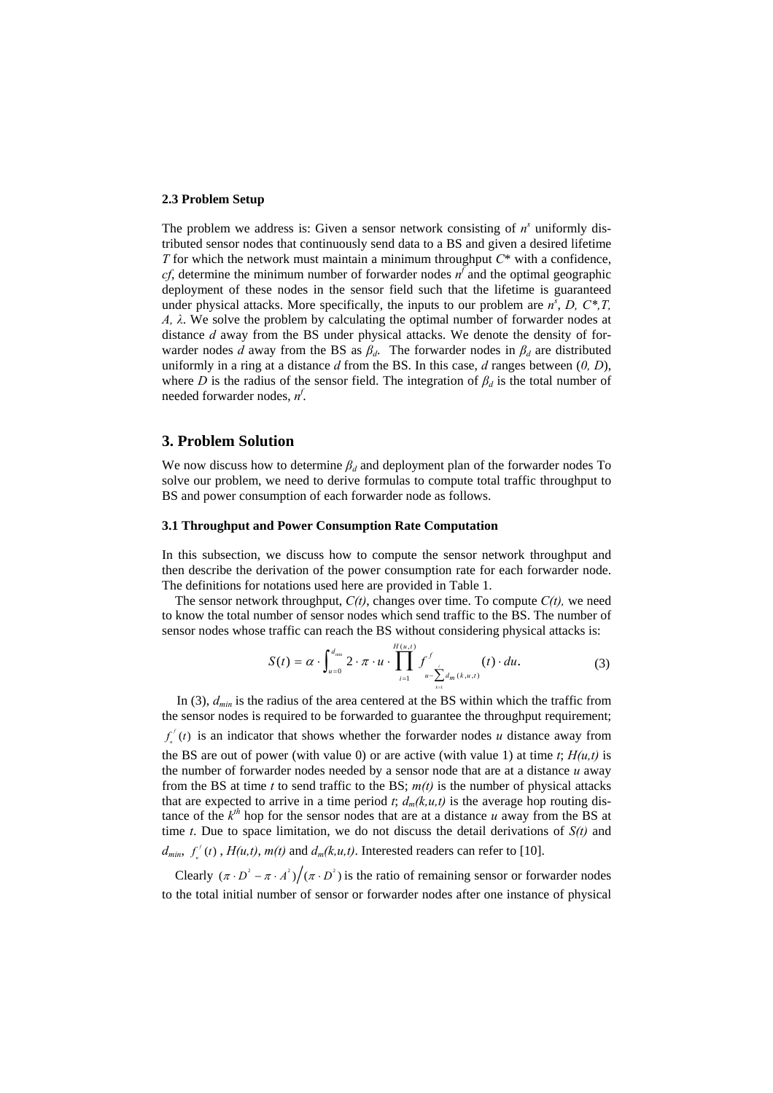#### **2.3 Problem Setup**

The problem we address is: Given a sensor network consisting of  $n^s$  uniformly distributed sensor nodes that continuously send data to a BS and given a desired lifetime *T* for which the network must maintain a minimum throughput *C*\* with a confidence, *cf*, determine the minimum number of forwarder nodes  $n^f$  and the optimal geographic deployment of these nodes in the sensor field such that the lifetime is guaranteed under physical attacks. More specifically, the inputs to our problem are  $n^s$ , *D*,  $C^*$ , *T*, *A, λ*. We solve the problem by calculating the optimal number of forwarder nodes at distance *d* away from the BS under physical attacks. We denote the density of forwarder nodes *d* away from the BS as  $\beta_d$ . The forwarder nodes in  $\beta_d$  are distributed uniformly in a ring at a distance *d* from the BS. In this case, *d* ranges between (*0, D*), where *D* is the radius of the sensor field. The integration of  $\beta_d$  is the total number of needed forwarder nodes, *n<sup>f</sup>* .

### **3. Problem Solution**

We now discuss how to determine  $\beta_d$  and deployment plan of the forwarder nodes To solve our problem, we need to derive formulas to compute total traffic throughput to BS and power consumption of each forwarder node as follows.

#### **3.1 Throughput and Power Consumption Rate Computation**

In this subsection, we discuss how to compute the sensor network throughput and then describe the derivation of the power consumption rate for each forwarder node. The definitions for notations used here are provided in Table 1.

The sensor network throughput,  $C(t)$ , changes over time. To compute  $C(t)$ , we need to know the total number of sensor nodes which send traffic to the BS. The number of sensor nodes whose traffic can reach the BS without considering physical attacks is:

$$
S(t) = \alpha \cdot \int_{u=0}^{d_{\min}} 2 \cdot \pi \cdot u \cdot \prod_{i=1}^{H(u,t)} \int_{u - \sum_{k=1}^{i} d_m (k, u, t)}^{f} (t) \cdot du.
$$
 (3)

In (3),  $d_{min}$  is the radius of the area centered at the BS within which the traffic from the sensor nodes is required to be forwarded to guarantee the throughput requirement;  $f'_{\mu}(t)$  is an indicator that shows whether the forwarder nodes *u* distance away from the BS are out of power (with value 0) or are active (with value 1) at time  $t$ ;  $H(u,t)$  is the number of forwarder nodes needed by a sensor node that are at a distance *u* away from the BS at time *t* to send traffic to the BS;  $m(t)$  is the number of physical attacks that are expected to arrive in a time period *t*;  $d_m(k, u, t)$  is the average hop routing distance of the  $k^{th}$  hop for the sensor nodes that are at a distance  $u$  away from the BS at time *t*. Due to space limitation, we do not discuss the detail derivations of *S(t)* and

 $d_{min}$ ,  $f'_{\mu}(t)$ ,  $H(u,t)$ ,  $m(t)$  and  $d_m(k, u, t)$ . Interested readers can refer to [10].

Clearly  $(\pi \cdot D^2 - \pi \cdot A^2)/(\pi \cdot D^2)$  is the ratio of remaining sensor or forwarder nodes to the total initial number of sensor or forwarder nodes after one instance of physical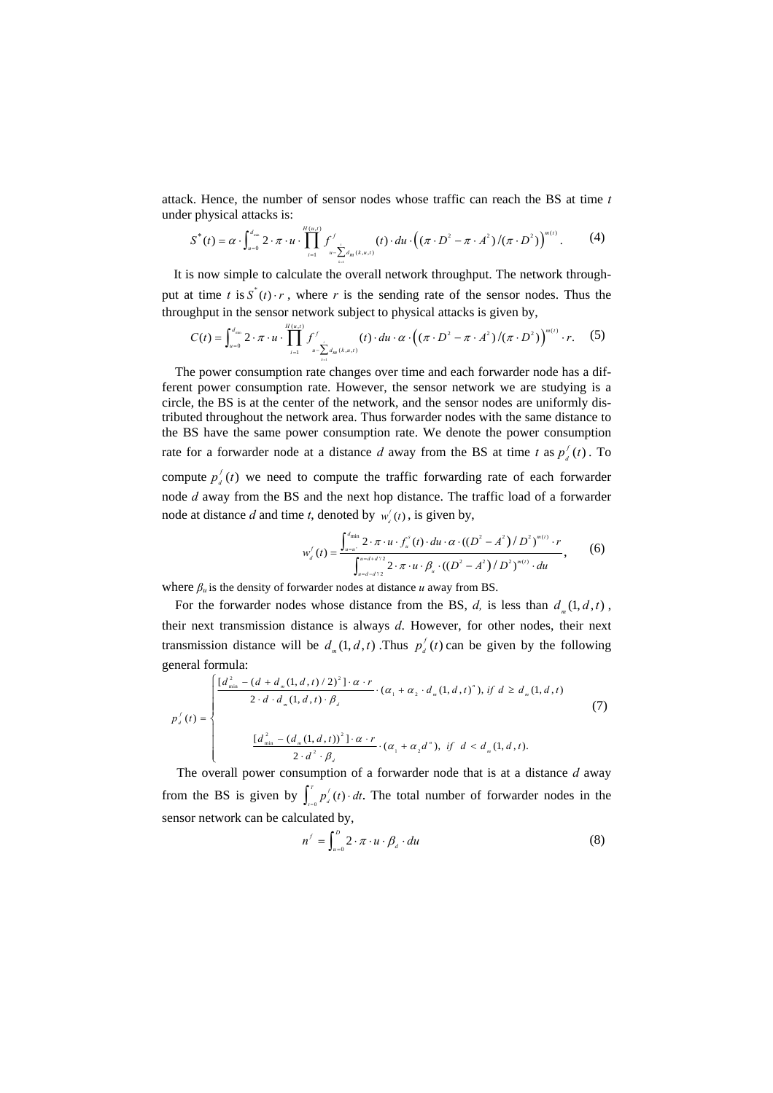attack. Hence, the number of sensor nodes whose traffic can reach the BS at time *t* under physical attacks is:

$$
S^*(t) = \alpha \cdot \int_{u=0}^{d_m} 2 \cdot \pi \cdot u \cdot \prod_{i=1}^{H(u,t)} f^f_{u - \sum_{k=1}^i d_m(k,u,t)}(t) \cdot du \cdot ((\pi \cdot D^2 - \pi \cdot A^2) / (\pi \cdot D^2))^{m(t)}.
$$
 (4)

It is now simple to calculate the overall network throughput. The network throughput at time *t* is  $S^*(t) \cdot r$ , where *r* is the sending rate of the sensor nodes. Thus the throughput in the sensor network subject to physical attacks is given by,

$$
C(t) = \int_{u=0}^{d_{\min}} 2 \cdot \pi \cdot u \cdot \prod_{i=1}^{H(u,i)} \int_{u-\sum_{i=1}^{i} d_m(k,u,i)}^{f'}(t) \cdot du \cdot \alpha \cdot ((\pi \cdot D^2 - \pi \cdot A^2)/(\pi \cdot D^2))^{m(t)} \cdot r.
$$
 (5)

The power consumption rate changes over time and each forwarder node has a different power consumption rate. However, the sensor network we are studying is a circle, the BS is at the center of the network, and the sensor nodes are uniformly distributed throughout the network area. Thus forwarder nodes with the same distance to the BS have the same power consumption rate. We denote the power consumption rate for a forwarder node at a distance *d* away from the BS at time *t* as  $p_d^f(t)$ . To compute  $p_d^f(t)$  we need to compute the traffic forwarding rate of each forwarder node *d* away from the BS and the next hop distance. The traffic load of a forwarder node at distance *d* and time *t*, denoted by  $w_a^f(t)$ , is given by,

$$
w'_{d}(t) = \frac{\int_{u=u'}^{d_{\min}} 2 \cdot \pi \cdot u \cdot \int_{u}^{s} (t) \cdot du \cdot \alpha \cdot ((D^{2} - A^{2}) / D^{2})^{m(t)} \cdot r}{\int_{u=d-d/2}^{u=d+d/2} 2 \cdot \pi \cdot u \cdot \beta_{u} \cdot ((D^{2} - A^{2}) / D^{2})^{m(t)} \cdot du},
$$
 (6)

where  $\beta_u$  is the density of forwarder nodes at distance *u* away from BS.

For the forwarder nodes whose distance from the BS,  $d$ , is less than  $d<sub>m</sub>(1, d, t)$ , their next transmission distance is always *d*. However, for other nodes, their next transmission distance will be  $d<sub>m</sub>(1, d, t)$ . Thus  $p<sub>d</sub><sup>f</sup>(t)$  can be given by the following general formula:

$$
p_{d}^{f}(t) = \begin{cases} \frac{[d_{\min}^{2} - (d + d_{m}(1, d, t) / 2)^{2}] \cdot \alpha \cdot r}{2 \cdot d \cdot d_{m}(1, d, t) \cdot \beta_{d}} \cdot (\alpha_{1} + \alpha_{2} \cdot d_{m}(1, d, t)^{n}), if d \ge d_{m}(1, d, t) \\ \frac{[d_{\min}^{2} - (d_{m}(1, d, t))^{2}] \cdot \alpha \cdot r}{2 \cdot d^{2} \cdot \beta_{d}} \cdot (\alpha_{1} + \alpha_{2} d^{n}), if d < d_{m}(1, d, t). \end{cases}
$$
(7)

The overall power consumption of a forwarder node that is at a distance *d* away from the BS is given by  $\int_{t=0}^{T} p_i'(t) \cdot dt$ . The total number of forwarder nodes in the sensor network can be calculated by,

$$
n^f = \int_{u=0}^D 2 \cdot \pi \cdot u \cdot \beta_d \cdot du \tag{8}
$$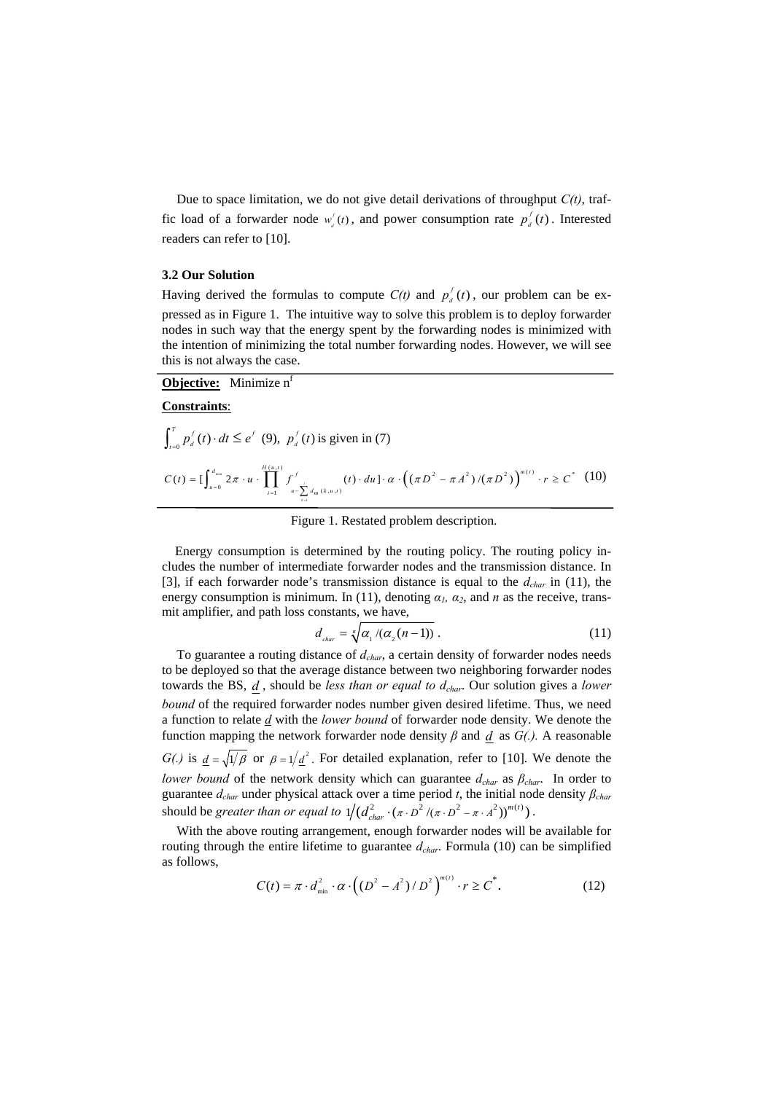Due to space limitation, we do not give detail derivations of throughput *C(t)*, traffic load of a forwarder node  $w_a^f(t)$ , and power consumption rate  $p_a^f(t)$ . Interested readers can refer to [10].

### **3.2 Our Solution**

Having derived the formulas to compute  $C(t)$  and  $p_d^f(t)$ , our problem can be expressed as in Figure 1. The intuitive way to solve this problem is to deploy forwarder nodes in such way that the energy spent by the forwarding nodes is minimized with the intention of minimizing the total number forwarding nodes. However, we will see this is not always the case.

**Objective:** Minimize n<sup>f</sup>

#### **Constraints**:

$$
\int_{t=0}^{T} p_d^f(t) \cdot dt \le e^f \quad (9), \ \ p_d^f(t) \text{ is given in (7)}
$$
\n
$$
C(t) = \left[ \int_{u=0}^{d_{\text{min}}} 2\pi \cdot u \cdot \prod_{i=1}^{H(u,t)} \int_{u-\sum_{i=1}^i d_m(k, u, t)}^{f} (t) \cdot du \right] \cdot \alpha \cdot \left( (\pi D^2 - \pi A^2) / (\pi D^2) \right)^{m(t)} \cdot r \ge C^* \quad (10)
$$

Figure 1. Restated problem description.

Energy consumption is determined by the routing policy. The routing policy includes the number of intermediate forwarder nodes and the transmission distance. In [3], if each forwarder node's transmission distance is equal to the  $d_{char}$  in (11), the energy consumption is minimum. In (11), denoting  $\alpha_l$ ,  $\alpha_2$ , and *n* as the receive, transmit amplifier, and path loss constants, we have,

$$
d_{\text{char}} = \sqrt[n]{\alpha_1 / (\alpha_2 (n-1))} \ . \tag{11}
$$

To guarantee a routing distance of  $d_{char}$ , a certain density of forwarder nodes needs to be deployed so that the average distance between two neighboring forwarder nodes towards the BS, *d* , should be *less than or equal to dchar*. Our solution gives a *lower bound* of the required forwarder nodes number given desired lifetime. Thus, we need a function to relate *d* with the *lower bound* of forwarder node density. We denote the function mapping the network forwarder node density *β* and *d* as *G(.).* A reasonable *G(.)* is  $d = \sqrt{1/\beta}$  or  $\beta = 1/\underline{d}^2$ . For detailed explanation, refer to [10]. We denote the *lower bound* of the network density which can guarantee  $d_{char}$  as  $\beta_{char}$ . In order to guarantee *dchar* under physical attack over a time period *t*, the initial node density *βchar* should be *greater than or equal to*  $1/(d_{char}^2 \cdot (\pi \cdot D^2 / (\pi \cdot D^2 - \pi \cdot A^2))^{m(t)})$ .

With the above routing arrangement, enough forwarder nodes will be available for routing through the entire lifetime to guarantee  $d_{char}$ . Formula (10) can be simplified as follows,

$$
C(t) = \pi \cdot d_{\min}^2 \cdot \alpha \cdot ((D^2 - A^2) / D^2)^{m(t)} \cdot r \ge C^*.
$$
 (12)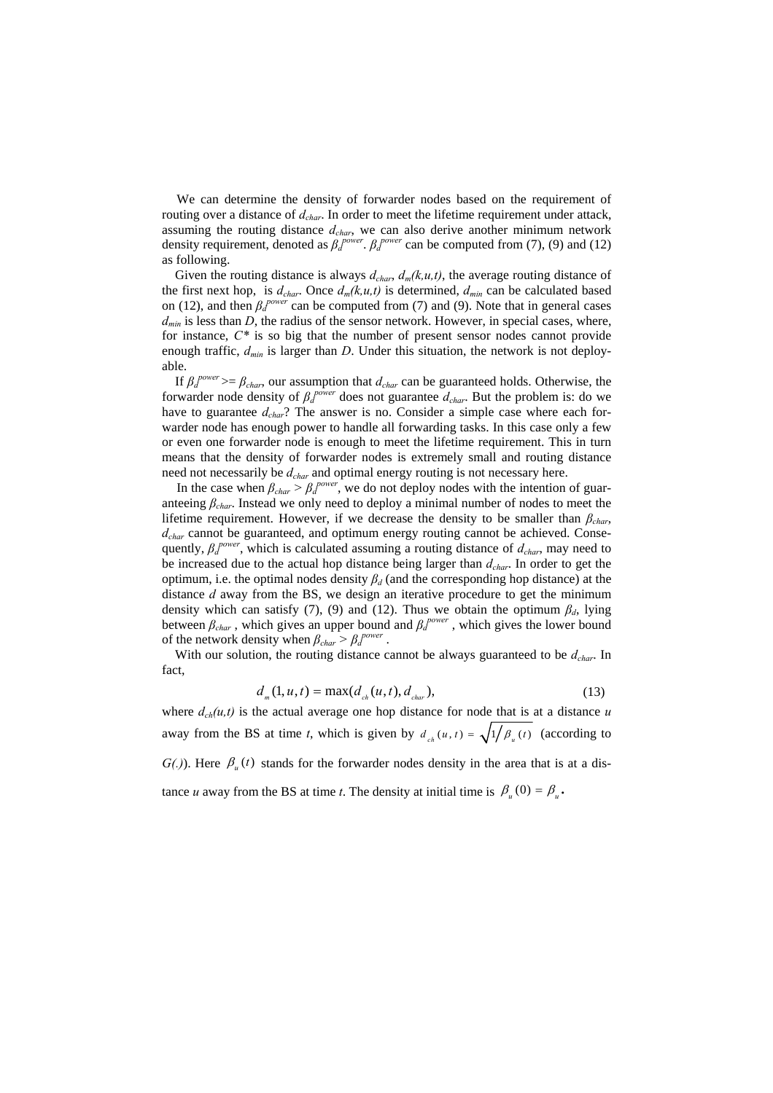We can determine the density of forwarder nodes based on the requirement of routing over a distance of  $d_{char}$ . In order to meet the lifetime requirement under attack, assuming the routing distance *dchar*, we can also derive another minimum network density requirement, denoted as  $\beta_d^{power}$ .  $\beta_d^{power}$  can be computed from (7), (9) and (12) as following.

Given the routing distance is always  $d_{char}$ ,  $d_m(k, u, t)$ , the average routing distance of the first next hop, is  $d_{char}$ . Once  $d_m(k, u, t)$  is determined,  $d_{min}$  can be calculated based on (12), and then  $\beta_d^{power}$  can be computed from (7) and (9). Note that in general cases  $d_{min}$  is less than *D*, the radius of the sensor network. However, in special cases, where, for instance, *C\** is so big that the number of present sensor nodes cannot provide enough traffic,  $d_{min}$  is larger than *D*. Under this situation, the network is not deployable.

If  $\beta_d^{power} \geq \beta_{char}$ , our assumption that  $d_{char}$  can be guaranteed holds. Otherwise, the forwarder node density of  $\beta_d^{power}$  does not guarantee  $d_{char}$ . But the problem is: do we have to guarantee  $d_{char}$ ? The answer is no. Consider a simple case where each forwarder node has enough power to handle all forwarding tasks. In this case only a few or even one forwarder node is enough to meet the lifetime requirement. This in turn means that the density of forwarder nodes is extremely small and routing distance need not necessarily be  $d_{char}$  and optimal energy routing is not necessary here.

In the case when  $\beta_{char} > \beta_d^{power}$ , we do not deploy nodes with the intention of guaranteeing *βchar*. Instead we only need to deploy a minimal number of nodes to meet the lifetime requirement. However, if we decrease the density to be smaller than  $\beta_{char}$ *dchar* cannot be guaranteed, and optimum energy routing cannot be achieved. Consequently, *β<sup>d</sup> power*, which is calculated assuming a routing distance of *dchar*, may need to be increased due to the actual hop distance being larger than *dchar*. In order to get the optimum, i.e. the optimal nodes density  $\beta_d$  (and the corresponding hop distance) at the distance *d* away from the BS, we design an iterative procedure to get the minimum density which can satisfy (7), (9) and (12). Thus we obtain the optimum  $\beta_d$ , lying between  $\beta_{char}$ , which gives an upper bound and  $\beta_d^{power}$ , which gives the lower bound of the network density when  $\beta_{char} > \beta_d^{power}$ .

With our solution, the routing distance cannot be always guaranteed to be  $d_{char}$ . In fact,

$$
d_{m}(1, u, t) = \max(d_{ch}(u, t), d_{char}), \qquad (13)
$$

where  $d_{ch}(u,t)$  is the actual average one hop distance for node that is at a distance  $u$ away from the BS at time *t*, which is given by  $d_{n}(u, t) = \sqrt{1/\beta_n(t)}$  (according to  $G(.)$ ). Here  $\beta_u(t)$  stands for the forwarder nodes density in the area that is at a distance *u* away from the BS at time *t*. The density at initial time is  $\beta_u(0) = \beta_u$ .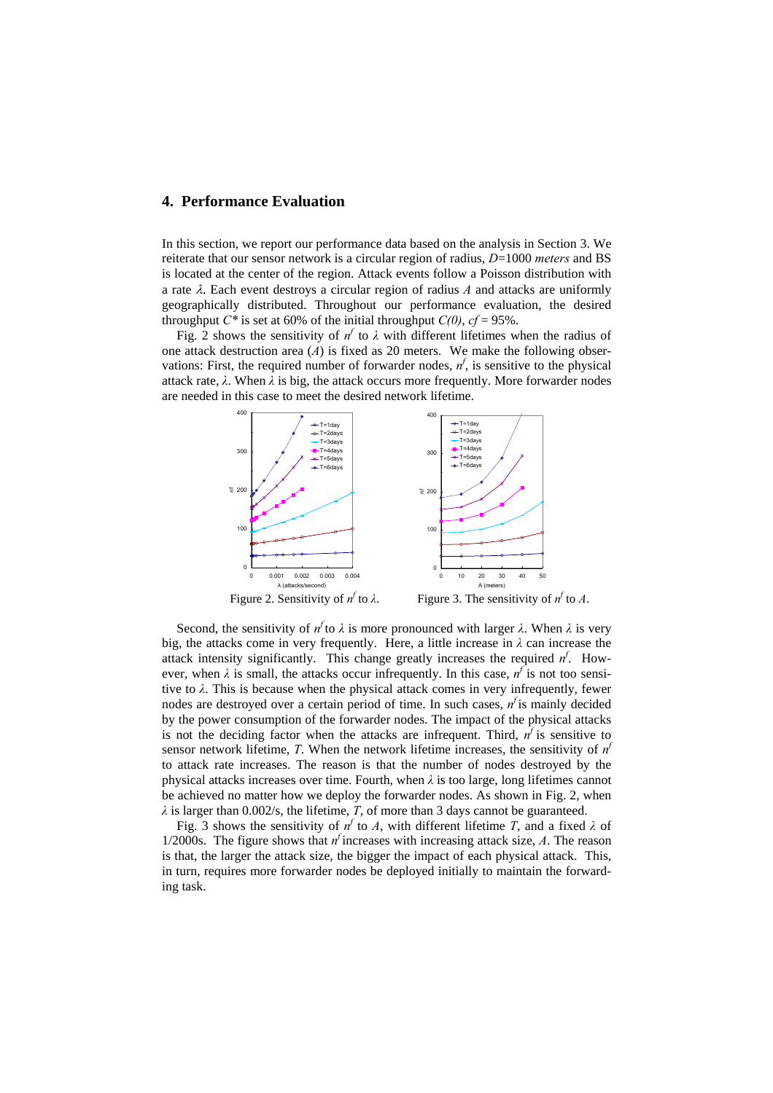## **4. Performance Evaluation**

In this section, we report our performance data based on the analysis in Section 3. We reiterate that our sensor network is a circular region of radius, *D*=1000 *meters* and BS is located at the center of the region. Attack events follow a Poisson distribution with a rate λ. Each event destroys a circular region of radius *A* and attacks are uniformly geographically distributed. Throughout our performance evaluation, the desired throughput  $C^*$  is set at 60% of the initial throughput  $C(0)$ ,  $cf = 95\%$ .

Fig. 2 shows the sensitivity of  $n^f$  to  $\lambda$  with different lifetimes when the radius of one attack destruction area (*A*) is fixed as 20 meters. We make the following observations: First, the required number of forwarder nodes,  $n<sup>f</sup>$ , is sensitive to the physical attack rate,  $\lambda$ . When  $\lambda$  is big, the attack occurs more frequently. More forwarder nodes are needed in this case to meet the desired network lifetime.



Second, the sensitivity of  $n^f$  to  $\lambda$  is more pronounced with larger  $\lambda$ . When  $\lambda$  is very big, the attacks come in very frequently. Here, a little increase in *λ* can increase the attack intensity significantly. This change greatly increases the required  $n<sup>f</sup>$ . However, when  $\lambda$  is small, the attacks occur infrequently. In this case,  $n^f$  is not too sensitive to *λ*. This is because when the physical attack comes in very infrequently, fewer nodes are destroyed over a certain period of time. In such cases, *n<sup>f</sup>* is mainly decided by the power consumption of the forwarder nodes. The impact of the physical attacks is not the deciding factor when the attacks are infrequent. Third,  $n<sup>f</sup>$  is sensitive to sensor network lifetime, *T*. When the network lifetime increases, the sensitivity of  $n<sup>f</sup>$ to attack rate increases. The reason is that the number of nodes destroyed by the physical attacks increases over time. Fourth, when *λ* is too large, long lifetimes cannot be achieved no matter how we deploy the forwarder nodes. As shown in Fig. 2, when *λ* is larger than 0.002/s, the lifetime, *T*, of more than 3 days cannot be guaranteed.

Fig. 3 shows the sensitivity of  $n^f$  to *A*, with different lifetime *T*, and a fixed  $\lambda$  of 1/2000s. The figure shows that  $n^f$  increases with increasing attack size, A. The reason is that, the larger the attack size, the bigger the impact of each physical attack. This, in turn, requires more forwarder nodes be deployed initially to maintain the forwarding task.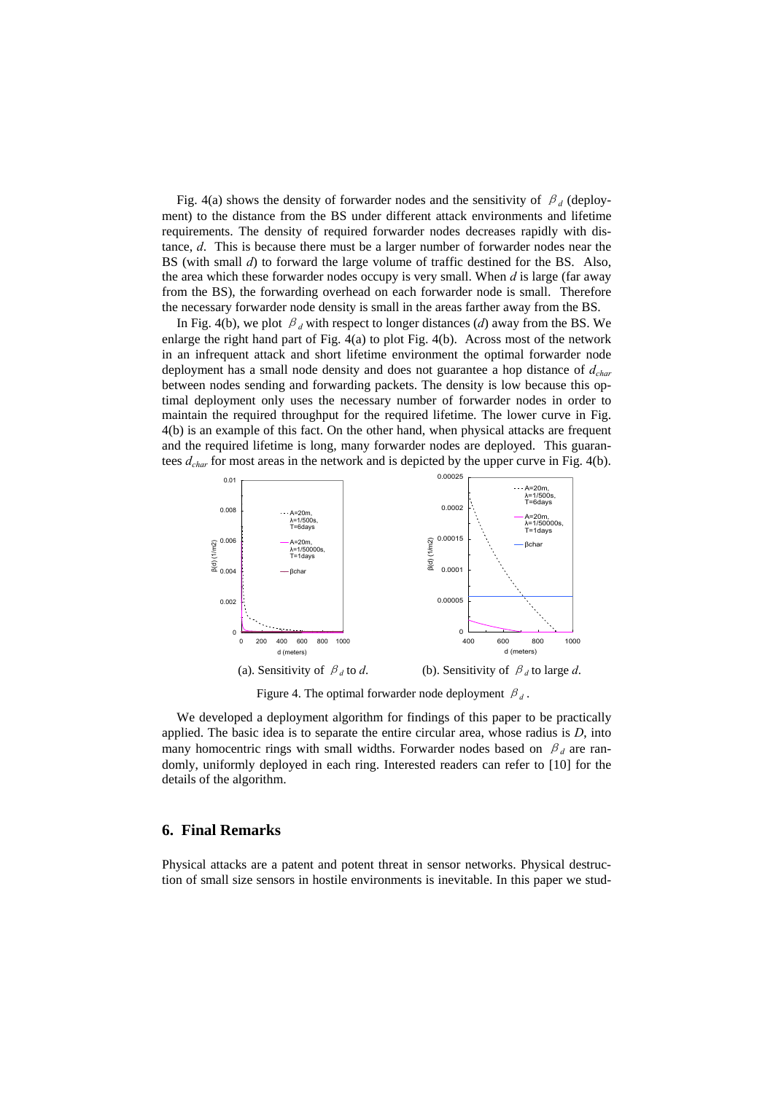Fig. 4(a) shows the density of forwarder nodes and the sensitivity of  $\beta_d$  (deployment) to the distance from the BS under different attack environments and lifetime requirements. The density of required forwarder nodes decreases rapidly with distance, *d*. This is because there must be a larger number of forwarder nodes near the BS (with small *d*) to forward the large volume of traffic destined for the BS. Also, the area which these forwarder nodes occupy is very small. When *d* is large (far away from the BS), the forwarding overhead on each forwarder node is small. Therefore the necessary forwarder node density is small in the areas farther away from the BS.

In Fig. 4(b), we plot  $\beta_d$  with respect to longer distances (*d*) away from the BS. We enlarge the right hand part of Fig. 4(a) to plot Fig. 4(b). Across most of the network in an infrequent attack and short lifetime environment the optimal forwarder node deployment has a small node density and does not guarantee a hop distance of *dchar* between nodes sending and forwarding packets. The density is low because this optimal deployment only uses the necessary number of forwarder nodes in order to maintain the required throughput for the required lifetime. The lower curve in Fig. 4(b) is an example of this fact. On the other hand, when physical attacks are frequent and the required lifetime is long, many forwarder nodes are deployed. This guarantees *dchar* for most areas in the network and is depicted by the upper curve in Fig. 4(b).



Figure 4. The optimal forwarder node deployment  $\beta_d$ .

We developed a deployment algorithm for findings of this paper to be practically applied. The basic idea is to separate the entire circular area, whose radius is *D*, into many homocentric rings with small widths. Forwarder nodes based on  $\beta_d$  are randomly, uniformly deployed in each ring. Interested readers can refer to [10] for the details of the algorithm.

## **6. Final Remarks**

Physical attacks are a patent and potent threat in sensor networks. Physical destruction of small size sensors in hostile environments is inevitable. In this paper we stud